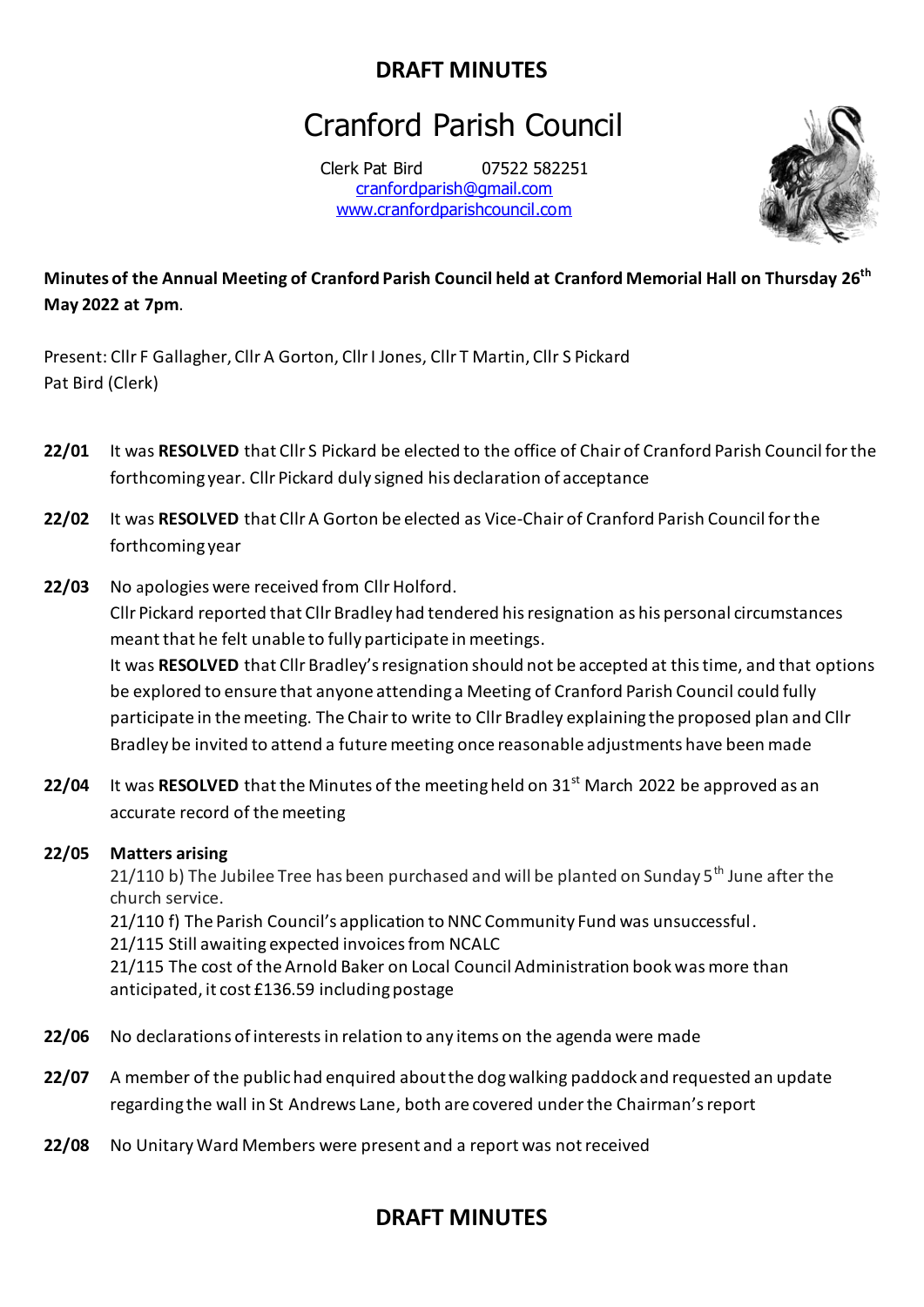# Cranford Parish Council

Clerk Pat Bird 07522 582251 [cranfordparish@gmail.com](mailto:cranfordparish@gmail.com) [www.cranfordparishcouncil.com](http://www.cranfordparishcouncil.com/)



### **Minutes of the Annual Meeting of Cranford Parish Council held at Cranford Memorial Hall on Thursday 26th May 2022 at 7pm**.

Present: Cllr F Gallagher, Cllr A Gorton, Cllr I Jones, Cllr T Martin, Cllr S Pickard Pat Bird (Clerk)

- **22/01** It was **RESOLVED** that Cllr S Pickard be elected to the office of Chair of Cranford Parish Council for the forthcoming year. Cllr Pickard duly signed his declaration of acceptance
- **22/02** It was **RESOLVED** that Cllr A Gorton be elected as Vice-Chair of Cranford Parish Council for the forthcoming year
- **22/03** No apologies were received from Cllr Holford. Cllr Pickard reported that Cllr Bradley had tendered his resignation as his personal circumstances meant that he felt unable to fully participate in meetings. It was **RESOLVED** that Cllr Bradley's resignation should not be accepted at this time, and that options be explored to ensure that anyone attending a Meeting of Cranford Parish Council could fully participate in the meeting. The Chair to write to Cllr Bradley explaining the proposed plan and Cllr Bradley be invited to attend a futuremeeting once reasonable adjustments have been made
- **22/04** It was **RESOLVED** that the Minutes of the meeting held on 31<sup>st</sup> March 2022 be approved as an accurate record of the meeting

#### **22/05 Matters arising**

21/110 b) The Jubilee Tree has been purchased and will be planted on Sunday 5<sup>th</sup> June after the church service.

21/110 f) The Parish Council's application to NNC Community Fund was unsuccessful. 21/115 Still awaiting expected invoices from NCALC 21/115 The cost of the Arnold Baker on Local Council Administration book was more than anticipated, it cost £136.59 including postage

- **22/06** No declarations of interestsin relation to any items on the agenda were made
- **22/07** A member of the public had enquired about the dog walking paddock and requested an update regarding the wall in St Andrews Lane, both are covered under the Chairman's report
- **22/08** No Unitary Ward Members were present and a report was not received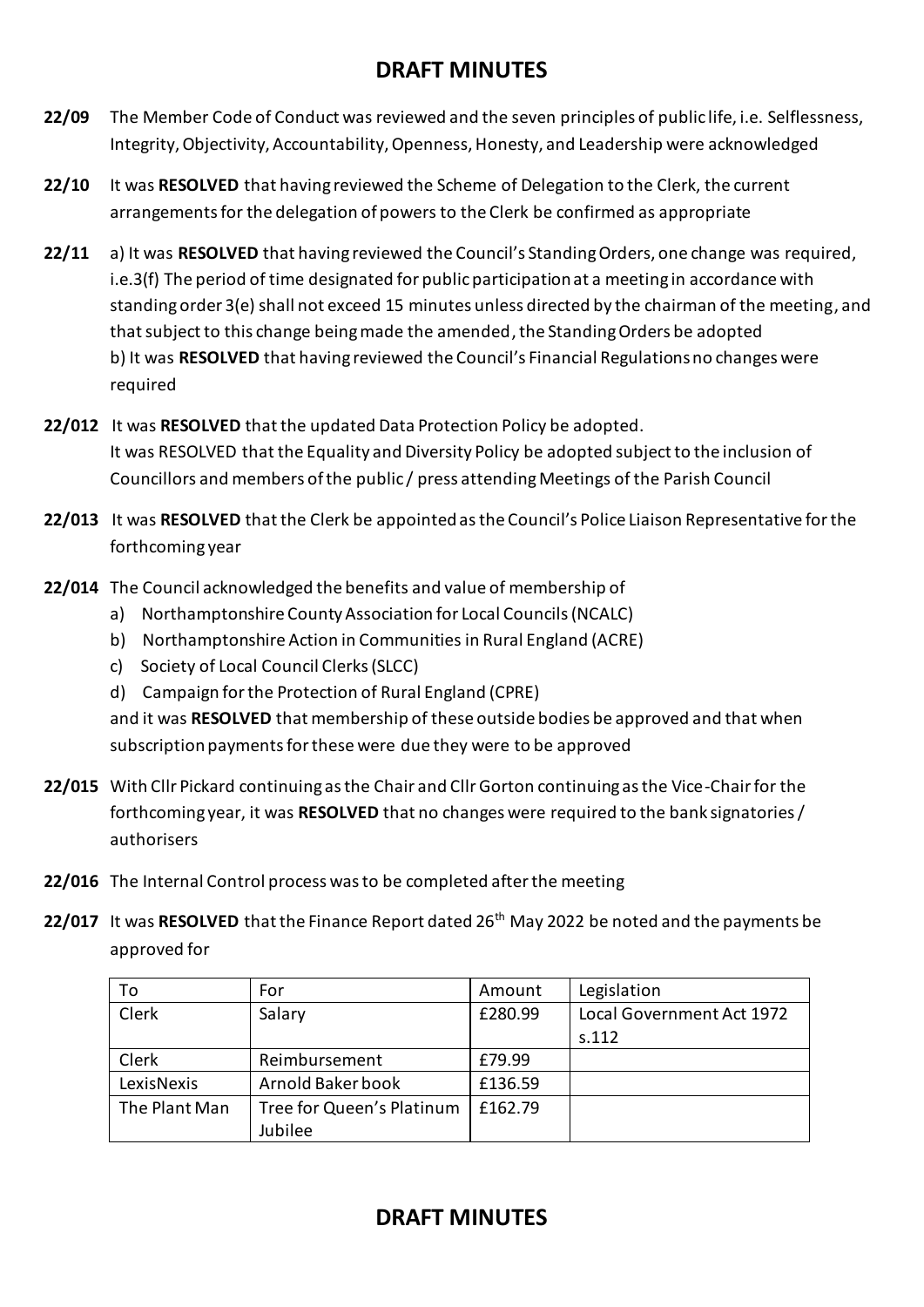- **22/09** The Member Code of Conduct was reviewed and the seven principles of public life, i.e. Selflessness, Integrity, Objectivity, Accountability, Openness, Honesty, and Leadership were acknowledged
- **22/10** It was **RESOLVED** that having reviewed the Scheme of Delegation to the Clerk, the current arrangements for the delegation of powers to the Clerk be confirmed as appropriate
- **22/11** a) It was **RESOLVED** that having reviewed the Council's Standing Orders, one change was required, i.e.3(f) The period of time designated for public participation at a meeting in accordance with standing order 3(e) shall not exceed 15 minutes unless directed by the chairman of the meeting, and that subject to this change being made the amended, the Standing Orders be adopted b) It was **RESOLVED** that having reviewed the Council's Financial Regulations no changes were required
- **22/012** It was **RESOLVED** that the updated Data Protection Policy be adopted. It was RESOLVED that the Equality and Diversity Policy be adopted subject to the inclusion of Councillors and members of the public / press attending Meetings of the Parish Council
- **22/013** It was **RESOLVED** that the Clerk be appointed as the Council's Police Liaison Representative for the forthcoming year
- **22/014** The Council acknowledged the benefits and value of membership of
	- a) Northamptonshire County Association for Local Councils (NCALC)
	- b) Northamptonshire Action in Communities in Rural England (ACRE)
	- c) Society of Local Council Clerks (SLCC)
	- d) Campaign for the Protection of Rural England (CPRE)

and it was **RESOLVED** that membership of these outside bodies be approved and that when subscription payments for these were due they were to be approved

- **22/015** With Cllr Pickard continuing as the Chair and Cllr Gorton continuing as the Vice-Chair for the forthcoming year, it was **RESOLVED** that no changes were required to the bank signatories / authorisers
- **22/016** The Internal Control process was to be completed after the meeting
- **22/017** It was RESOLVED that the Finance Report dated 26<sup>th</sup> May 2022 be noted and the payments be approved for

| To            | For                       | Amount  | Legislation               |
|---------------|---------------------------|---------|---------------------------|
| Clerk         | Salary                    | £280.99 | Local Government Act 1972 |
|               |                           |         | S.112                     |
| Clerk         | Reimbursement             | £79.99  |                           |
| LexisNexis    | Arnold Baker book         | £136.59 |                           |
| The Plant Man | Tree for Queen's Platinum | £162.79 |                           |
|               | Jubilee                   |         |                           |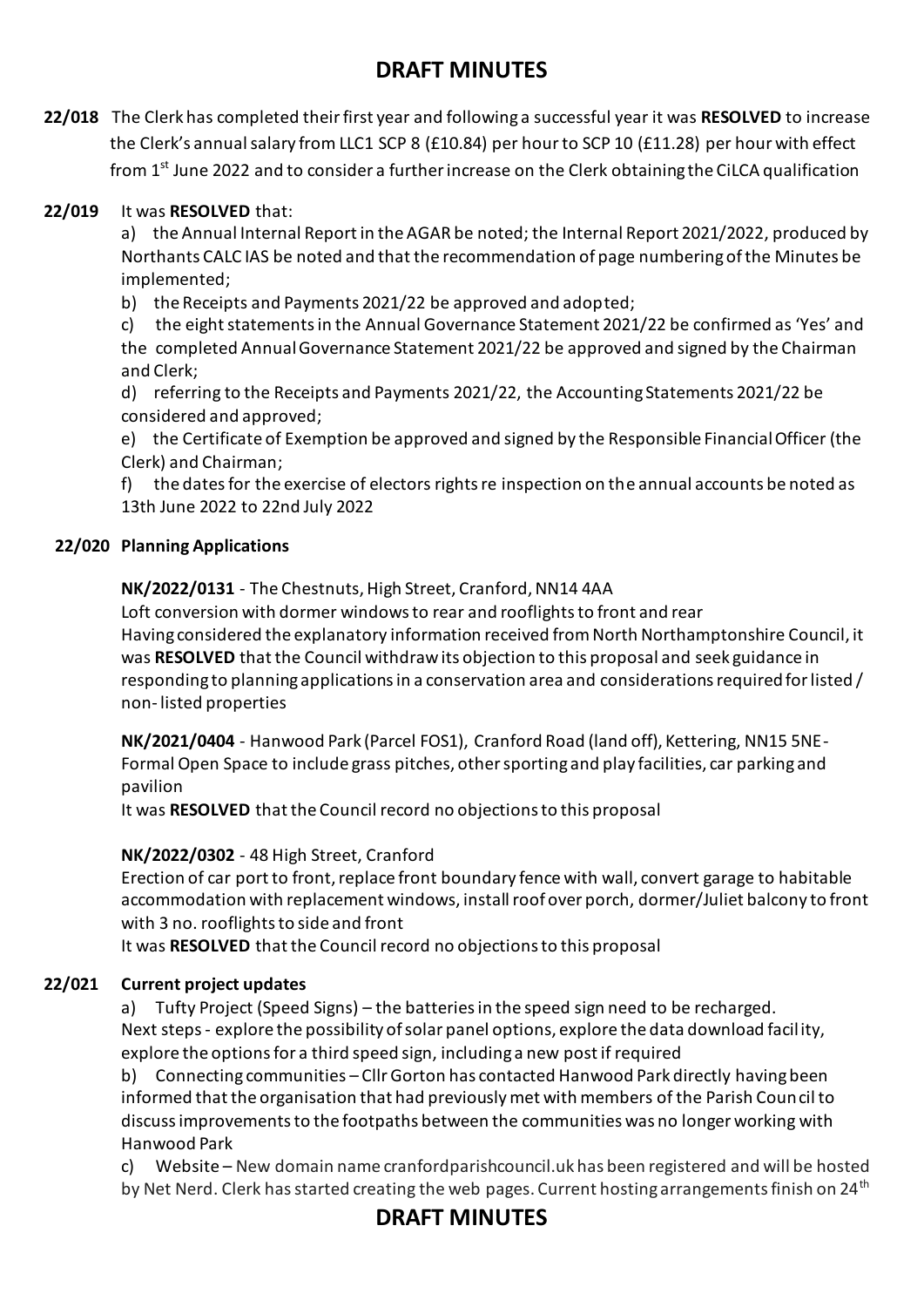**22/018** The Clerk has completed theirfirst year and following a successful year it was **RESOLVED** to increase the Clerk's annual salary from LLC1 SCP 8 (£10.84) per hour to SCP 10 (£11.28) per hour with effect from 1st June 2022 and to consider a further increase on the Clerk obtaining the CiLCA qualification

#### **22/019** It was **RESOLVED** that:

a) the Annual Internal Report in the AGAR be noted; the Internal Report 2021/2022, produced by Northants CALC IAS be noted and that the recommendation of page numbering of the Minutes be implemented;

b) the Receipts and Payments 2021/22 be approved and adopted;

c) the eight statements in the Annual Governance Statement 2021/22 be confirmed as 'Yes' and the completed Annual Governance Statement 2021/22 be approved and signed by the Chairman and Clerk;

d) referring to the Receipts and Payments 2021/22, the Accounting Statements 2021/22 be considered and approved;

e) the Certificate of Exemption be approved and signed by the Responsible Financial Officer (the Clerk) and Chairman;

f) the dates for the exercise of electors rights re inspection on the annual accounts be noted as 13th June 2022 to 22nd July 2022

#### **22/020 Planning Applications**

**NK/2022/0131** - The Chestnuts, High Street, Cranford, NN14 4AA

Loft conversion with dormer windows to rear and rooflights to front and rear Having considered the explanatory information received from North Northamptonshire Council, it was **RESOLVED** that the Council withdraw its objection to this proposal and seek guidance in responding to planning applications in a conservation area and considerations required for listed / non-listed properties

**NK/2021/0404** - Hanwood Park (Parcel FOS1), Cranford Road (land off), Kettering, NN15 5NE-Formal Open Space to include grass pitches, other sporting and play facilities, car parking and pavilion

It was **RESOLVED** that the Council record no objections to this proposal

**NK/2022/0302** - 48 High Street, Cranford

Erection of car port to front, replace front boundary fence with wall, convert garage to habitable accommodation with replacement windows, install roof over porch, dormer/Juliet balcony to front with 3 no. rooflights to side and front

It was **RESOLVED** that the Council record no objections to this proposal

#### **22/021 Current project updates**

a) Tufty Project (Speed Signs) – the batteries in the speed sign need to be recharged. Next steps - explore the possibility of solar panel options, explore the data download facility, explore the options for a third speed sign, including a new post if required

b) Connecting communities – Cllr Gorton has contacted Hanwood Park directly having been informed that the organisation that had previously met with members of the Parish Council to discuss improvements to the footpaths between the communities was no longer working with Hanwood Park

c) Website – New domain name cranfordparishcouncil.uk has been registered and will be hosted by Net Nerd. Clerk has started creating the web pages. Current hosting arrangements finish on 24<sup>th</sup>